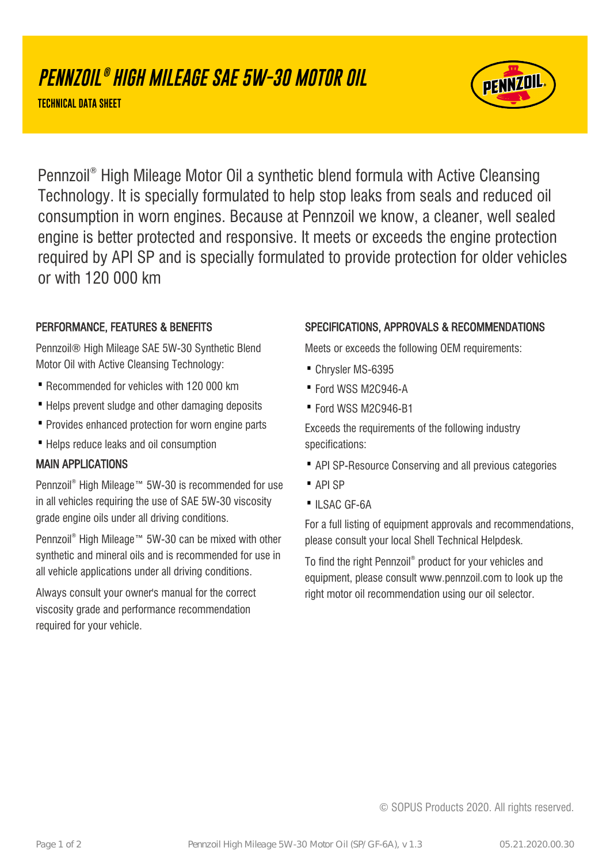# **PENNZOIL ® HIGH MILEAGE SAE 5W-30 MOTOR OIL**

**TECHNICAL DATA SHEET**



Pennzoil® High Mileage Motor Oil a synthetic blend formula with Active Cleansing Technology. It is specially formulated to help stop leaks from seals and reduced oil consumption in worn engines. Because at Pennzoil we know, a cleaner, well sealed engine is better protected and responsive. It meets or exceeds the engine protection required by API SP and is specially formulated to provide protection for older vehicles or with 120 000 km

### PERFORMANCE, FEATURES & BENEFITS

Pennzoil® High Mileage SAE 5W-30 Synthetic Blend Motor Oil with Active Cleansing Technology:

- · Recommended for vehicles with 120 000 km
- Helps prevent sludge and other damaging deposits
- · Provides enhanced protection for worn engine parts
- · Helps reduce leaks and oil consumption

#### MAIN APPLICATIONS

Pennzoil® High Mileage™ 5W-30 is recommended for use in all vehicles requiring the use of SAE 5W-30 viscosity grade engine oils under all driving conditions.

Pennzoil® High Mileage™ 5W-30 can be mixed with other synthetic and mineral oils and is recommended for use in all vehicle applications under all driving conditions.

Always consult your owner's manual for the correct viscosity grade and performance recommendation required for your vehicle.

#### SPECIFICATIONS, APPROVALS & RECOMMENDATIONS

Meets or exceeds the following OEM requirements:

- · Chrysler MS-6395
- · Ford WSS M2C946-A
- · Ford WSS M2C946-B1

Exceeds the requirements of the following industry specifications:

- · API SP-Resource Conserving and all previous categories
- · API SP
- ILSAC GF-6A

For a full listing of equipment approvals and recommendations, please consult your local Shell Technical Helpdesk.

To find the right Pennzoil® product for your vehicles and equipment, please consult www.pennzoil.com to look up the right motor oil recommendation using our oil selector.

© SOPUS Products 2020. All rights reserved.